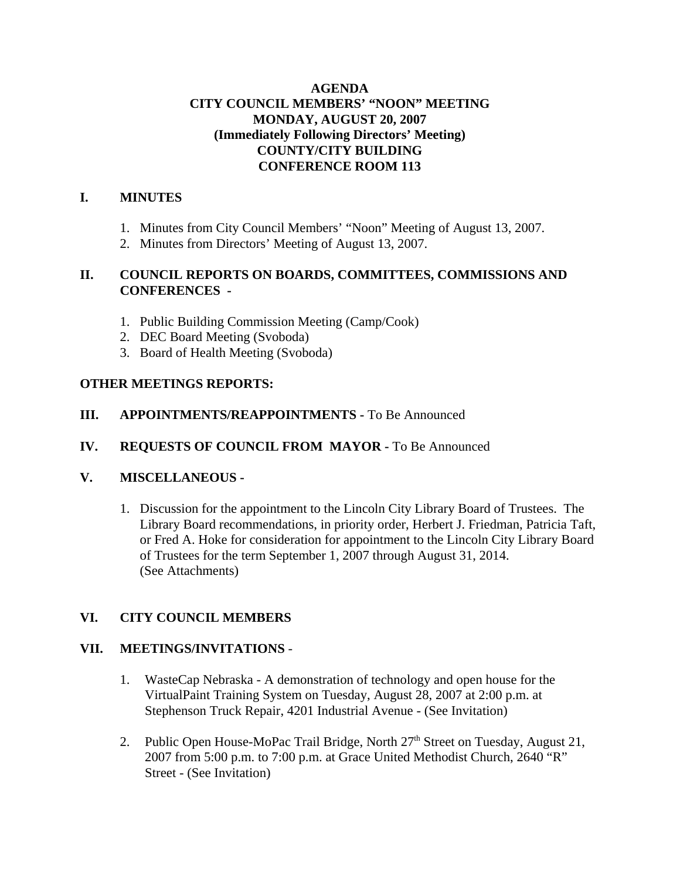### **AGENDA CITY COUNCIL MEMBERS' "NOON" MEETING MONDAY, AUGUST 20, 2007 (Immediately Following Directors' Meeting) COUNTY/CITY BUILDING CONFERENCE ROOM 113**

### **I. MINUTES**

- 1. Minutes from City Council Members' "Noon" Meeting of August 13, 2007.
- 2. Minutes from Directors' Meeting of August 13, 2007.

### **II. COUNCIL REPORTS ON BOARDS, COMMITTEES, COMMISSIONS AND CONFERENCES -**

- 1. Public Building Commission Meeting (Camp/Cook)
- 2. DEC Board Meeting (Svoboda)
- 3. Board of Health Meeting (Svoboda)

### **OTHER MEETINGS REPORTS:**

**III.** APPOINTMENTS/REAPPOINTMENTS - To Be Announced

### **IV. REQUESTS OF COUNCIL FROM MAYOR -** To Be Announced

### **V. MISCELLANEOUS -**

1. Discussion for the appointment to the Lincoln City Library Board of Trustees. The Library Board recommendations, in priority order, Herbert J. Friedman, Patricia Taft, or Fred A. Hoke for consideration for appointment to the Lincoln City Library Board of Trustees for the term September 1, 2007 through August 31, 2014. (See Attachments)

### **VI. CITY COUNCIL MEMBERS**

### **VII. MEETINGS/INVITATIONS** -

- 1. WasteCap Nebraska A demonstration of technology and open house for the VirtualPaint Training System on Tuesday, August 28, 2007 at 2:00 p.m. at Stephenson Truck Repair, 4201 Industrial Avenue - (See Invitation)
- 2. Public Open House-MoPac Trail Bridge, North  $27<sup>th</sup>$  Street on Tuesday, August 21, 2007 from 5:00 p.m. to 7:00 p.m. at Grace United Methodist Church, 2640 "R" Street - (See Invitation)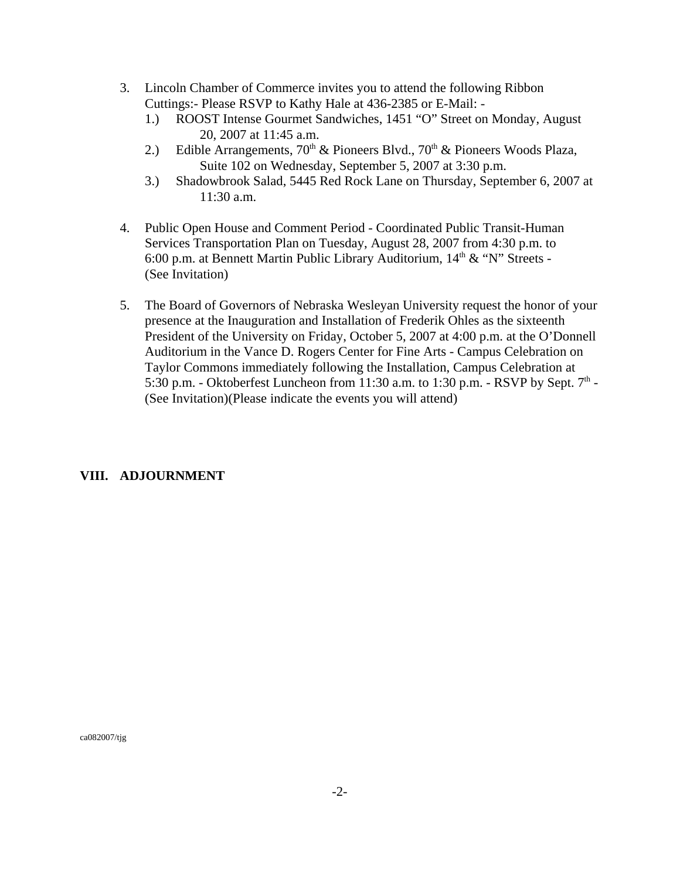- 3. Lincoln Chamber of Commerce invites you to attend the following Ribbon Cuttings:- Please RSVP to Kathy Hale at 436-2385 or E-Mail: -
	- 1.) ROOST Intense Gourmet Sandwiches, 1451 "O" Street on Monday, August 20, 2007 at 11:45 a.m.
	- 2.) Edible Arrangements,  $70<sup>th</sup>$  & Pioneers Blvd.,  $70<sup>th</sup>$  & Pioneers Woods Plaza, Suite 102 on Wednesday, September 5, 2007 at 3:30 p.m.
	- 3.) Shadowbrook Salad, 5445 Red Rock Lane on Thursday, September 6, 2007 at 11:30 a.m.
- 4. Public Open House and Comment Period Coordinated Public Transit-Human Services Transportation Plan on Tuesday, August 28, 2007 from 4:30 p.m. to 6:00 p.m. at Bennett Martin Public Library Auditorium,  $14<sup>th</sup> \& "N"$  Streets -(See Invitation)
- 5. The Board of Governors of Nebraska Wesleyan University request the honor of your presence at the Inauguration and Installation of Frederik Ohles as the sixteenth President of the University on Friday, October 5, 2007 at 4:00 p.m. at the O'Donnell Auditorium in the Vance D. Rogers Center for Fine Arts - Campus Celebration on Taylor Commons immediately following the Installation, Campus Celebration at 5:30 p.m. - Oktoberfest Luncheon from 11:30 a.m. to 1:30 p.m. - RSVP by Sept.  $7<sup>th</sup>$  -(See Invitation)(Please indicate the events you will attend)

### **VIII. ADJOURNMENT**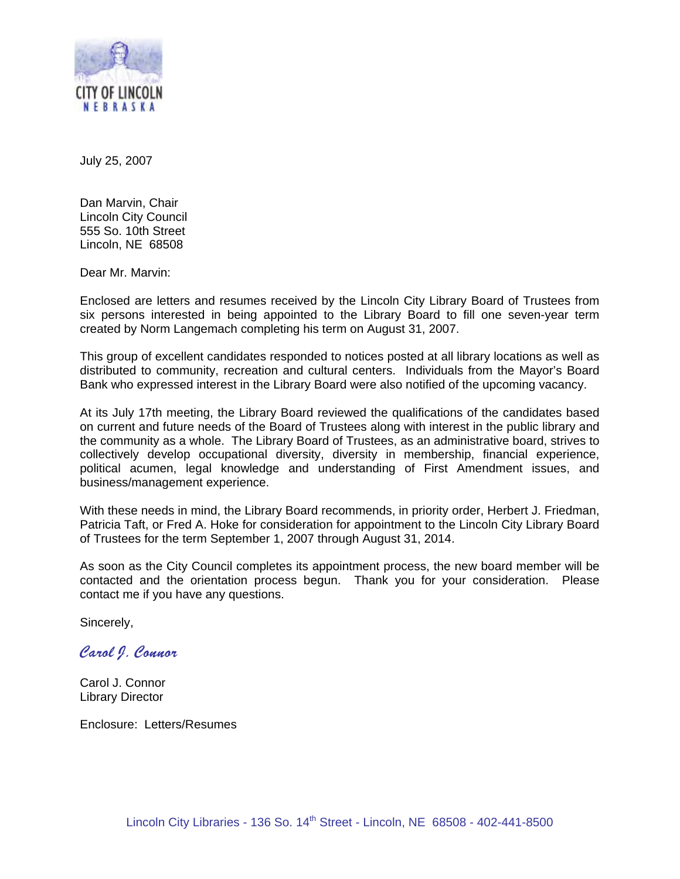

July 25, 2007

Dan Marvin, Chair Lincoln City Council 555 So. 10th Street Lincoln, NE 68508

Dear Mr. Marvin:

Enclosed are letters and resumes received by the Lincoln City Library Board of Trustees from six persons interested in being appointed to the Library Board to fill one seven-year term created by Norm Langemach completing his term on August 31, 2007.

This group of excellent candidates responded to notices posted at all library locations as well as distributed to community, recreation and cultural centers. Individuals from the Mayor's Board Bank who expressed interest in the Library Board were also notified of the upcoming vacancy.

At its July 17th meeting, the Library Board reviewed the qualifications of the candidates based on current and future needs of the Board of Trustees along with interest in the public library and the community as a whole. The Library Board of Trustees, as an administrative board, strives to collectively develop occupational diversity, diversity in membership, financial experience, political acumen, legal knowledge and understanding of First Amendment issues, and business/management experience.

With these needs in mind, the Library Board recommends, in priority order, Herbert J. Friedman, Patricia Taft, or Fred A. Hoke for consideration for appointment to the Lincoln City Library Board of Trustees for the term September 1, 2007 through August 31, 2014.

As soon as the City Council completes its appointment process, the new board member will be contacted and the orientation process begun. Thank you for your consideration. Please contact me if you have any questions.

Sincerely,

Carol J. Connor

Carol J. Connor Library Director

Enclosure: Letters/Resumes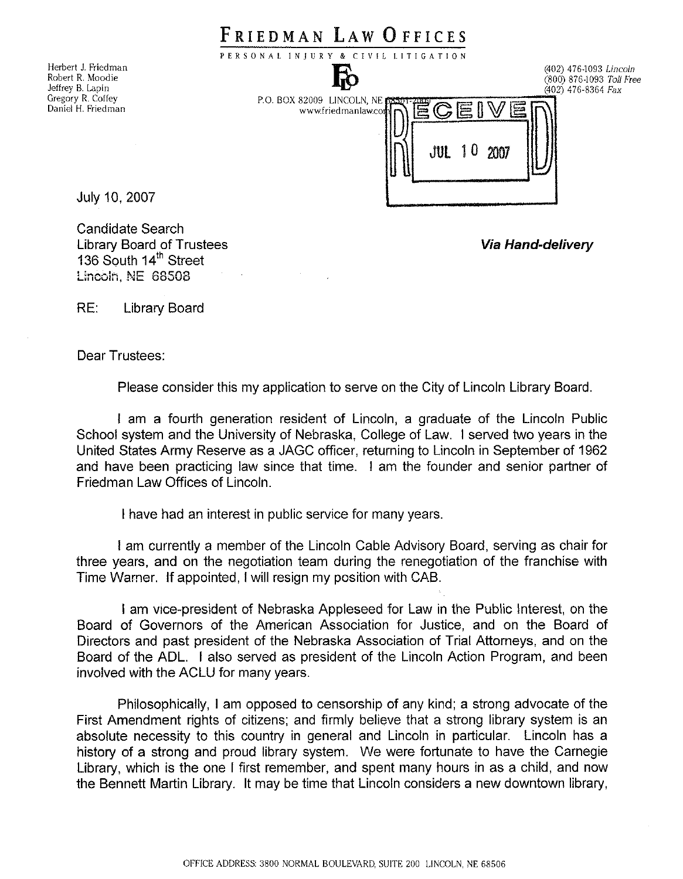|                                                             | FRIEDMAN LAW UFFICES                                                |                                                                          |
|-------------------------------------------------------------|---------------------------------------------------------------------|--------------------------------------------------------------------------|
|                                                             | PERSONAL INJURY & CIVIL LITIGATION                                  |                                                                          |
| Herbert J. Friedman<br>Robert R. Moodie<br>Jeffrey B. Lapin |                                                                     | (402) 476-1093 Lincoln<br>(800) 876-1093 Toll Free<br>(402) 476-8364 Fax |
| Gregory R. Coffey<br>Daniel H. Friedman                     | P.O. BOX 82009 LINCOLN, NE PRITTER OF BU<br>$JUL$ 10<br>2007<br>! U |                                                                          |
| July 10, 2007                                               |                                                                     |                                                                          |
| Candidate Search<br><b>Library Board of Trustees</b>        |                                                                     | <b>Via Hand-delivery</b>                                                 |

 $RF<sup>+</sup>$ **Library Board** 

136 South 14<sup>th</sup> Street Lincoln, NE 68508

Dear Trustees:

Please consider this my application to serve on the City of Lincoln Library Board.

I am a fourth generation resident of Lincoln, a graduate of the Lincoln Public School system and the University of Nebraska, College of Law. I served two years in the United States Army Reserve as a JAGC officer, returning to Lincoln in September of 1962 and have been practicing law since that time. I am the founder and senior partner of Friedman Law Offices of Lincoln.

I have had an interest in public service for many years.

I am currently a member of the Lincoln Cable Advisory Board, serving as chair for three years, and on the negotiation team during the renegotiation of the franchise with Time Warner. If appointed, I will resign my position with CAB.

I am vice-president of Nebraska Appleseed for Law in the Public Interest, on the Board of Governors of the American Association for Justice, and on the Board of Directors and past president of the Nebraska Association of Trial Attorneys, and on the Board of the ADL. I also served as president of the Lincoln Action Program, and been involved with the ACLU for many years.

Philosophically, I am opposed to censorship of any kind; a strong advocate of the First Amendment rights of citizens; and firmly believe that a strong library system is an absolute necessity to this country in general and Lincoln in particular. Lincoln has a history of a strong and proud library system. We were fortunate to have the Carnegie Library, which is the one I first remember, and spent many hours in as a child, and now the Bennett Martin Library. It may be time that Lincoln considers a new downtown library,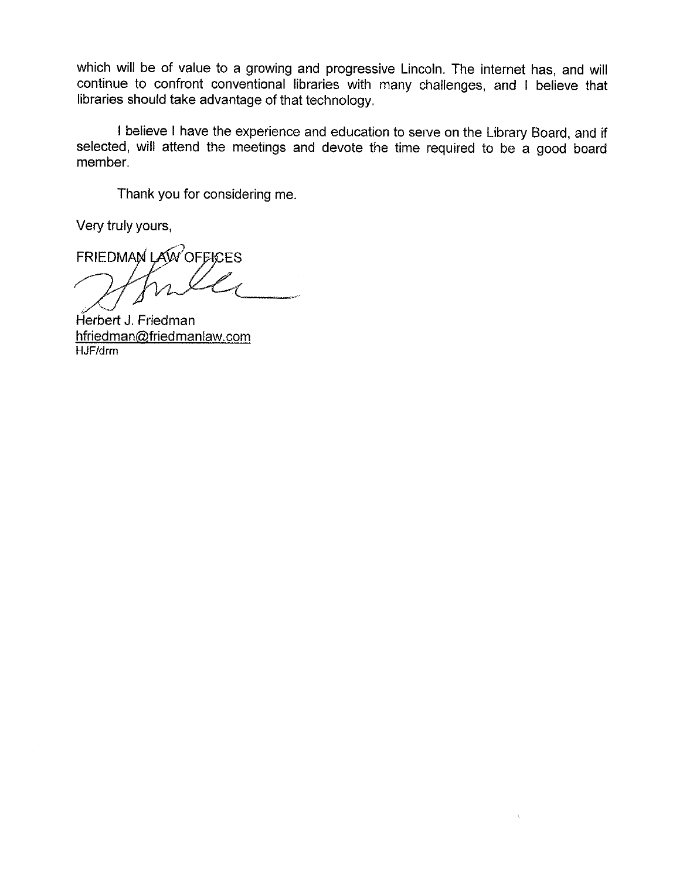which will be of value to a growing and progressive Lincoln. The internet has, and will continue to confront conventional libraries with many challenges, and I believe that libraries should take advantage of that technology.

I believe I have the experience and education to serve on the Library Board, and if selected, will attend the meetings and devote the time required to be a good board member.

 $\bar{\gamma}$ 

Thank you for considering me.

Very truly yours,

FRIEDMAN LAW OFFICES

Herbert J. Friedman hfriedman@friedmanlaw.com HJF/drm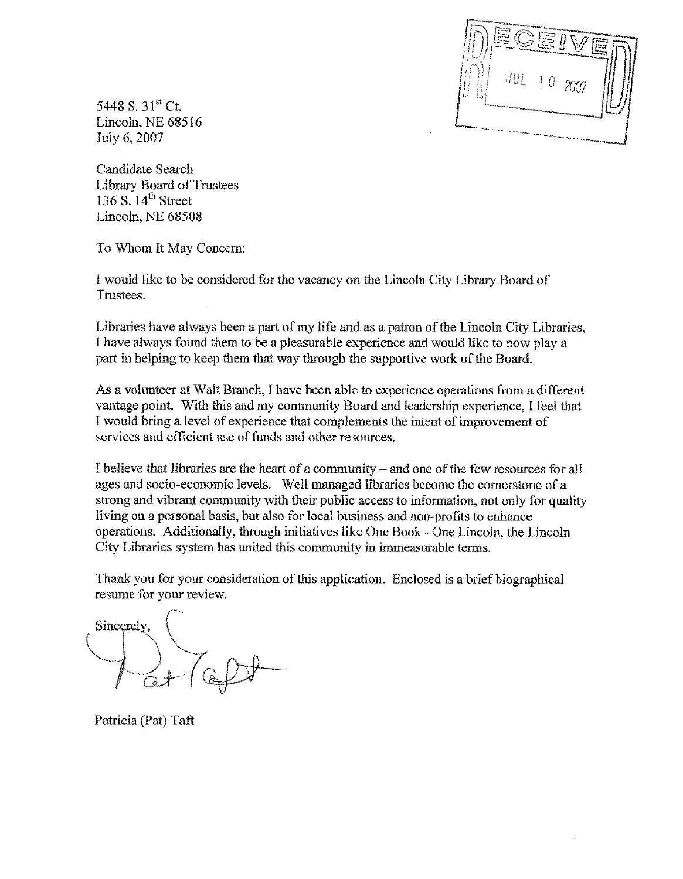

5448 S. 31<sup>st</sup> Ct. Lincoln, NE 68516 July 6, 2007

Candidate Search **Library Board of Trustees** 136 S.  $14^{th}$  Street Lincoln, NE 68508

To Whom It May Concern:

I would like to be considered for the vacancy on the Lincoln City Library Board of Trustees.

Libraries have always been a part of my life and as a patron of the Lincoln City Libraries, I have always found them to be a pleasurable experience and would like to now play a part in helping to keep them that way through the supportive work of the Board.

As a volunteer at Walt Branch, I have been able to experience operations from a different vantage point. With this and my community Board and leadership experience. I feel that I would bring a level of experience that complements the intent of improvement of services and efficient use of funds and other resources.

I believe that libraries are the heart of a community – and one of the few resources for all ages and socio-economic levels. Well managed libraries become the cornerstone of a strong and vibrant community with their public access to information, not only for quality living on a personal basis, but also for local business and non-profits to enhance operations. Additionally, through initiatives like One Book - One Lincoln, the Lincoln City Libraries system has united this community in immeasurable terms.

Thank you for your consideration of this application. Enclosed is a brief biographical resume for your review.

Sincerely,

Patricia (Pat) Taft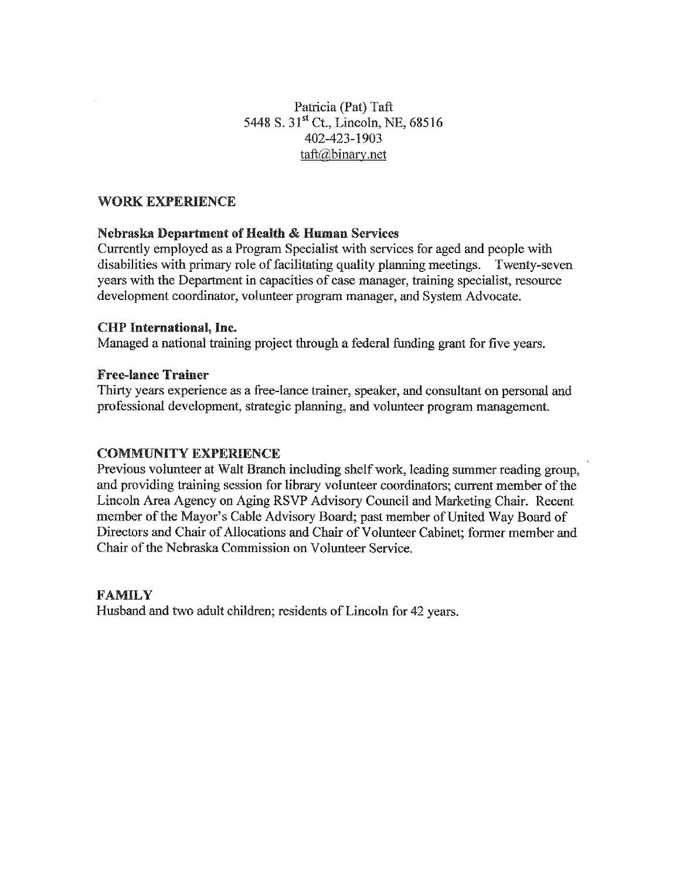### Patricia (Pat) Taft 5448 S. 31st Ct., Lincoln, NE, 68516 402-423-1903  $\text{taft}\textcircled{a}$ binary.net

### **WORK EXPERIENCE**

### **Nebraska Department of Health & Human Services**

Currently employed as a Program Specialist with services for aged and people with disabilities with primary role of facilitating quality planning meetings. Twenty-seven years with the Department in capacities of case manager, training specialist, resource development coordinator, volunteer program manager, and System Advocate.

### **CHP** International, Inc.

Managed a national training project through a federal funding grant for five years.

### **Free-lance Trainer**

Thirty years experience as a free-lance trainer, speaker, and consultant on personal and professional development, strategic planning, and volunteer program management.

### **COMMUNITY EXPERIENCE**

Previous volunteer at Walt Branch including shelf work, leading summer reading group, and providing training session for library volunteer coordinators; current member of the Lincoln Area Agency on Aging RSVP Advisory Council and Marketing Chair. Recent member of the Mayor's Cable Advisory Board; past member of United Way Board of Directors and Chair of Allocations and Chair of Volunteer Cabinet; former member and Chair of the Nebraska Commission on Volunteer Service.

### **FAMILY**

Husband and two adult children; residents of Lincoln for 42 years.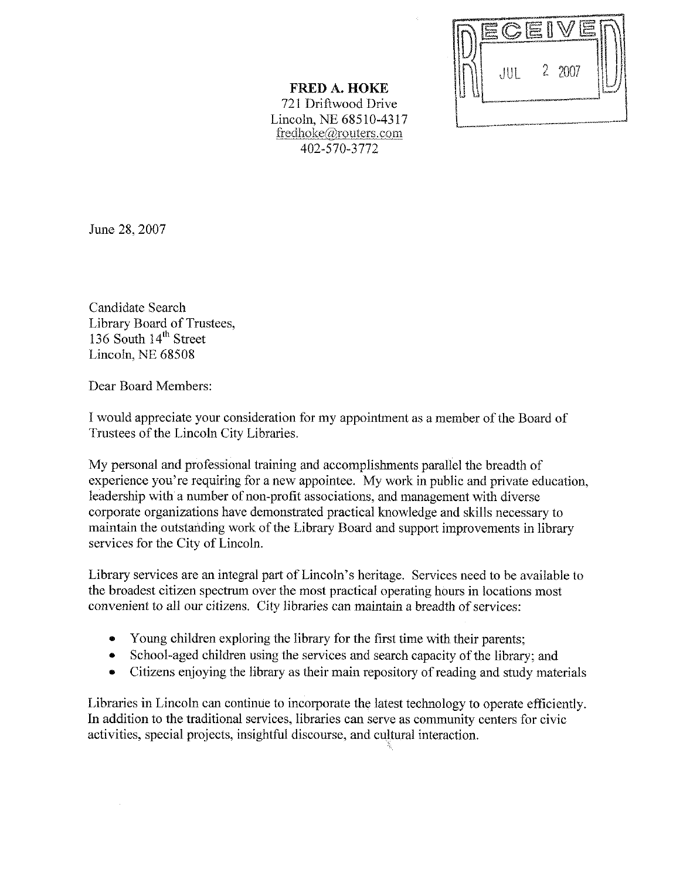|                  | <u>trinen angeres i gyske kompoziske stede dyreter og anket og angeres komponent og dyret i en jan</u> |                                                                                                                |                                            |  |
|------------------|--------------------------------------------------------------------------------------------------------|----------------------------------------------------------------------------------------------------------------|--------------------------------------------|--|
|                  |                                                                                                        |                                                                                                                |                                            |  |
|                  |                                                                                                        |                                                                                                                | <b><i><u>PARTICULAR COMPANY</u></i></b>    |  |
| <b>Exception</b> | JUL                                                                                                    |                                                                                                                | 2 2007<br><b>Suntaneonage construction</b> |  |
|                  |                                                                                                        | r in de beste de aangeste gegen de beste gewolf het staat de tyde staat gewolf het de verkindige op de tyde op |                                            |  |

### **FRED A. HOKE** 721 Driftwood Drive Lincoln, NE 68510-4317 fredhoke@routers.com 402-570-3772

June 28, 2007

Candidate Search Library Board of Trustees, 136 South 14<sup>th</sup> Street Lincoln, NE 68508

Dear Board Members:

I would appreciate your consideration for my appointment as a member of the Board of Trustees of the Lincoln City Libraries.

My personal and professional training and accomplishments parallel the breadth of experience you're requiring for a new appointee. My work in public and private education, leadership with a number of non-profit associations, and management with diverse corporate organizations have demonstrated practical knowledge and skills necessary to maintain the outstanding work of the Library Board and support improvements in library services for the City of Lincoln.

Library services are an integral part of Lincoln's heritage. Services need to be available to the broadest citizen spectrum over the most practical operating hours in locations most convenient to all our citizens. City libraries can maintain a breadth of services:

- Young children exploring the library for the first time with their parents;  $\bullet$
- School-aged children using the services and search capacity of the library; and  $\bullet$
- Citizens enjoying the library as their main repository of reading and study materials

Libraries in Lincoln can continue to incorporate the latest technology to operate efficiently. In addition to the traditional services, libraries can serve as community centers for civic activities, special projects, insightful discourse, and cultural interaction.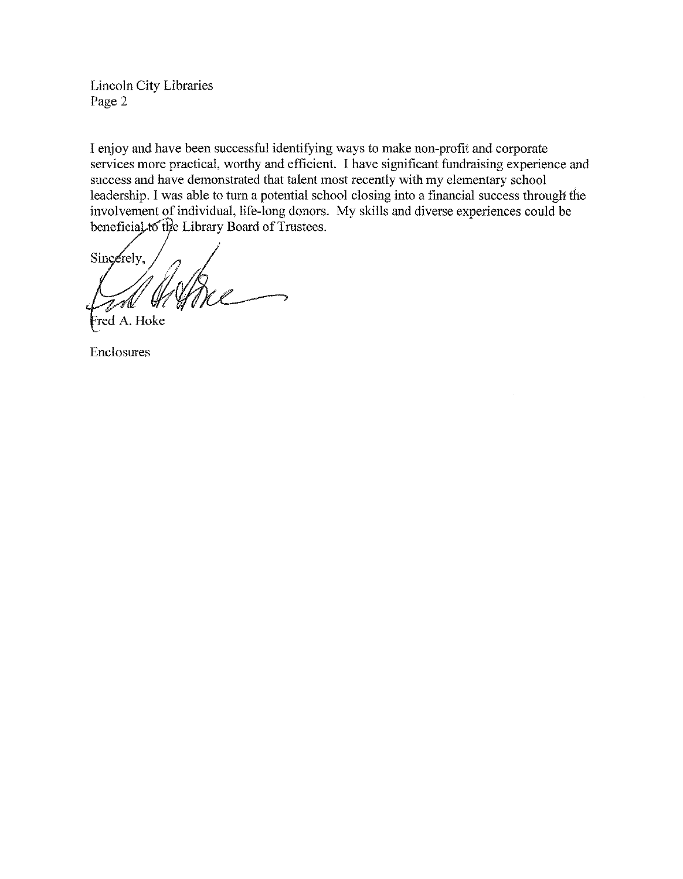**Lincoln City Libraries** Page 2

I enjoy and have been successful identifying ways to make non-profit and corporate services more practical, worthy and efficient. I have significant fundraising experience and success and have demonstrated that talent most recently with my elementary school leadership. I was able to turn a potential school closing into a financial success through the involvement of individual, life-long donors. My skills and diverse experiences could be beneficial to the Library Board of Trustees.

Sincerely, Wore -A

Fred A. Hoke

Enclosures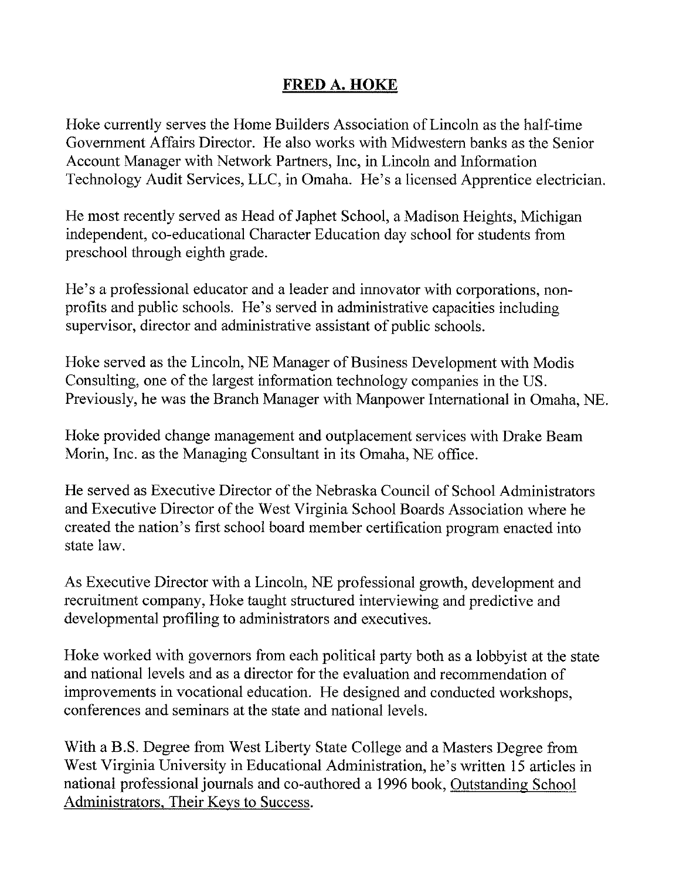## **FRED A. HOKE**

Hoke currently serves the Home Builders Association of Lincoln as the half-time Government Affairs Director. He also works with Midwestern banks as the Senior Account Manager with Network Partners, Inc. in Lincoln and Information Technology Audit Services, LLC, in Omaha. He's a licensed Apprentice electrician.

He most recently served as Head of Japhet School, a Madison Heights, Michigan independent, co-educational Character Education day school for students from preschool through eighth grade.

He's a professional educator and a leader and innovator with corporations, nonprofits and public schools. He's served in administrative capacities including supervisor, director and administrative assistant of public schools.

Hoke served as the Lincoln, NE Manager of Business Development with Modis Consulting, one of the largest information technology companies in the US. Previously, he was the Branch Manager with Manpower International in Omaha, NE.

Hoke provided change management and outplacement services with Drake Beam Morin, Inc. as the Managing Consultant in its Omaha, NE office.

He served as Executive Director of the Nebraska Council of School Administrators and Executive Director of the West Virginia School Boards Association where he created the nation's first school board member certification program enacted into state law.

As Executive Director with a Lincoln, NE professional growth, development and recruitment company, Hoke taught structured interviewing and predictive and developmental profiling to administrators and executives.

Hoke worked with governors from each political party both as a lobby ist at the state and national levels and as a director for the evaluation and recommendation of improvements in vocational education. He designed and conducted workshops. conferences and seminars at the state and national levels.

With a B.S. Degree from West Liberty State College and a Masters Degree from West Virginia University in Educational Administration, he's written 15 articles in national professional journals and co-authored a 1996 book, Outstanding School Administrators, Their Keys to Success.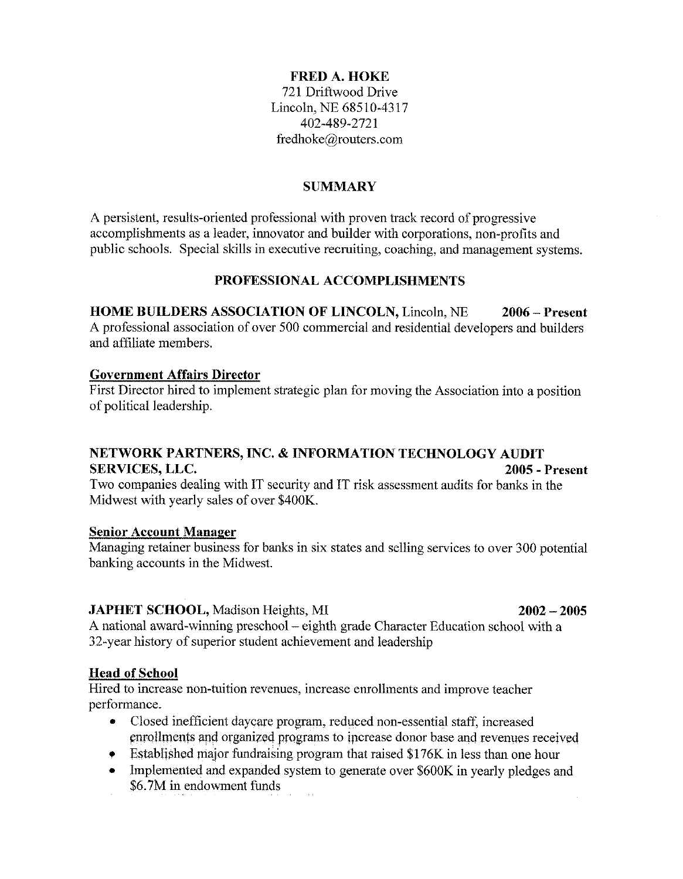### **FRED A. HOKE**

721 Driftwood Drive Lincoln, NE 68510-4317 402-489-2721 fredhoke@routers.com

### **SUMMARY**

A persistent, results-oriented professional with proven track record of progressive accomplishments as a leader, innovator and builder with corporations, non-profits and public schools. Special skills in executive recruiting, coaching, and management systems.

### PROFESSIONAL ACCOMPLISHMENTS

 $2006 -$ Present **HOME BUILDERS ASSOCIATION OF LINCOLN, Lincoln, NE** A professional association of over 500 commercial and residential developers and builders and affiliate members.

### **Government Affairs Director**

First Director hired to implement strategic plan for moving the Association into a position of political leadership.

### NETWORK PARTNERS, INC. & INFORMATION TECHNOLOGY AUDIT **SERVICES, LLC.** 2005 - Present

Two companies dealing with IT security and IT risk assessment audits for banks in the Midwest with yearly sales of over \$400K.

### **Senior Account Manager**

Managing retainer business for banks in six states and selling services to over 300 potential banking accounts in the Midwest.

### **JAPHET SCHOOL, Madison Heights, MI**

## A national award-winning preschool – eighth grade Character Education school with a 32-year history of superior student achievement and leadership

### **Head of School**

Hired to increase non-tuition revenues, increase enrollments and improve teacher performance.

- $\bullet$ Closed inefficient daycare program, reduced non-essential staff, increased enrollments and organized programs to increase donor base and revenues received
- Established major fundraising program that raised \$176K in less than one hour
- Implemented and expanded system to generate over \$600K in yearly pledges and  $\bullet$ \$6.7M in endowment funds

### $2002 - 2005$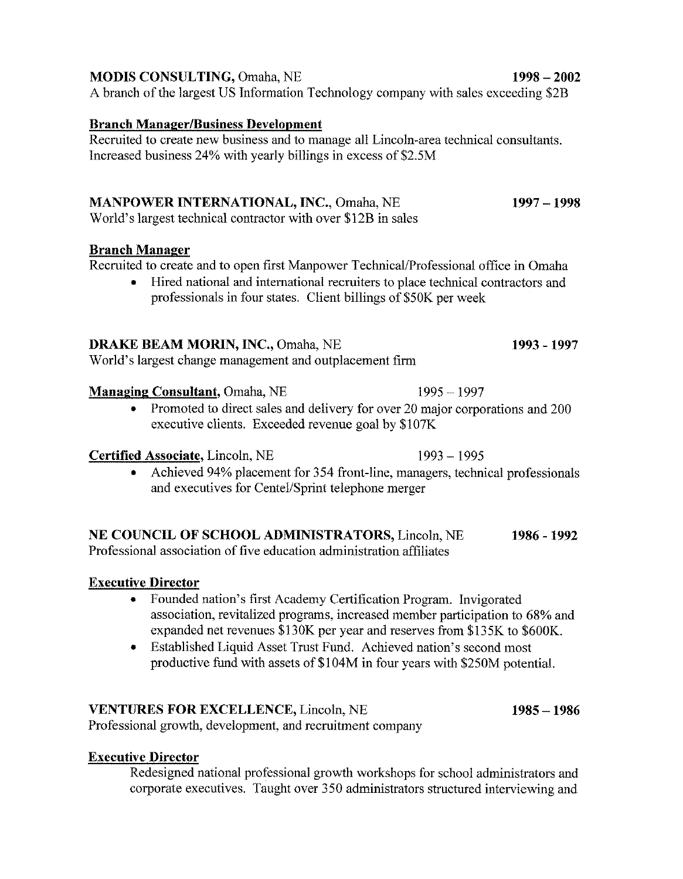| <b>MANPOWER INTERNATIONAL, INC., Omaha, NE</b><br>World's largest technical contractor with over \$12B in sales                                                                                                                                                       | 1997 – 1998 |
|-----------------------------------------------------------------------------------------------------------------------------------------------------------------------------------------------------------------------------------------------------------------------|-------------|
| <b>Branch Manager</b><br>Recruited to create and to open first Manpower Technical/Professional office in Omaha<br>• Hired national and international recruiters to place technical contractors and<br>professionals in four states. Client billings of \$50K per week |             |
| <b>DRAKE BEAM MORIN, INC., Omaha, NE</b>                                                                                                                                                                                                                              | 1993 - 1997 |

World's largest change management and outplacement firm

### **Managing Consultant, Omaha, NE**

• Promoted to direct sales and delivery for over 20 major corporations and 200 executive clients. Exceeded revenue goal by \$107K

### Certified Associate, Lincoln, NE

Achieved 94% placement for 354 front-line, managers, technical professionals and executives for Centel/Sprint telephone merger

### NE COUNCIL OF SCHOOL ADMINISTRATORS, Lincoln, NE 1986 - 1992

Professional association of five education administration affiliates

### **Executive Director**

- Founded nation's first Academy Certification Program. Invigorated association, revitalized programs, increased member participation to 68% and expanded net revenues \$130K per year and reserves from \$135K to \$600K.
- Established Liquid Asset Trust Fund. Achieved nation's second most  $\bullet$ productive fund with assets of \$104M in four years with \$250M potential.

### **VENTURES FOR EXCELLENCE, Lincoln, NE**

Professional growth, development, and recruitment company

## **Executive Director**

Redesigned national professional growth workshops for school administrators and corporate executives. Taught over 350 administrators structured interviewing and

**MODIS CONSULTING, Omaha, NE** 

A branch of the largest US Information Technology company with sales exceeding \$2B

## **Branch Manager/Business Development**

Recruited to create new business and to manage all Lincoln-area technical consultants. Increased business 24% with yearly billings in excess of \$2.5M

 $1985 - 1986$ 

 $1993 - 1995$ 

 $1995 - 1997$ 

 $1998 - 2002$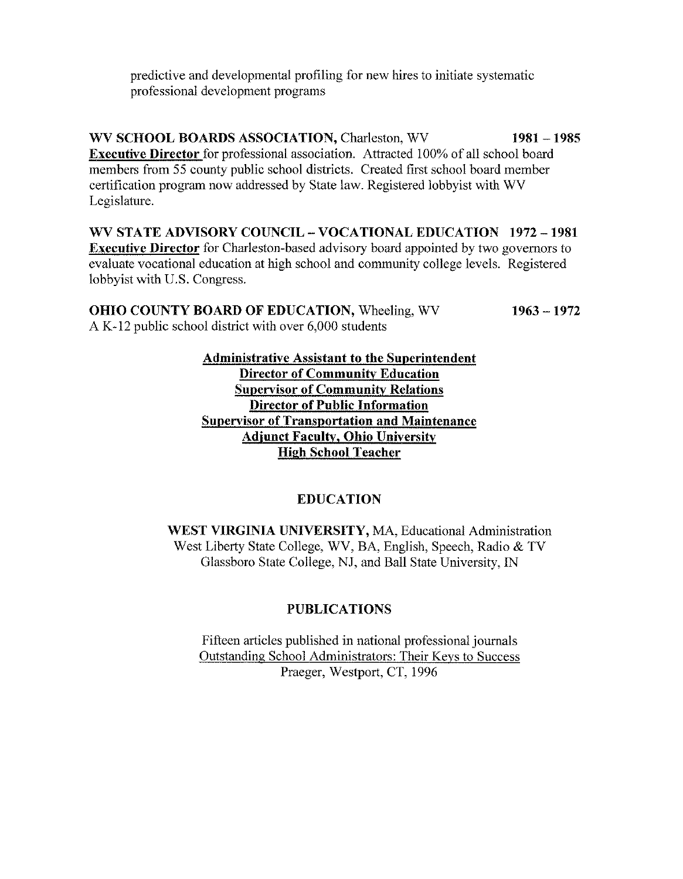predictive and developmental profiling for new hires to initiate systematic professional development programs

WV SCHOOL BOARDS ASSOCIATION, Charleston, WV  $1981 - 1985$ **Executive Director** for professional association. Attracted 100% of all school board members from 55 county public school districts. Created first school board member certification program now addressed by State law. Registered lobbyist with WV Legislature.

WV STATE ADVISORY COUNCIL – VOCATIONAL EDUCATION 1972 – 1981 **Executive Director** for Charleston-based advisory board appointed by two governors to evaluate vocational education at high school and community college levels. Registered lobbyist with U.S. Congress.

| <b>OHIO COUNTY BOARD OF EDUCATION, Wheeling, WV</b>    | $1963 - 1972$ |
|--------------------------------------------------------|---------------|
| A K-12 public school district with over 6,000 students |               |

**Administrative Assistant to the Superintendent Director of Community Education Supervisor of Community Relations Director of Public Information Supervisor of Transportation and Maintenance Adjunct Faculty, Ohio University High School Teacher** 

### **EDUCATION**

WEST VIRGINIA UNIVERSITY, MA, Educational Administration West Liberty State College, WV, BA, English, Speech, Radio & TV Glassboro State College, NJ, and Ball State University, IN

## **PUBLICATIONS**

Fifteen articles published in national professional journals Outstanding School Administrators: Their Keys to Success Praeger, Westport, CT, 1996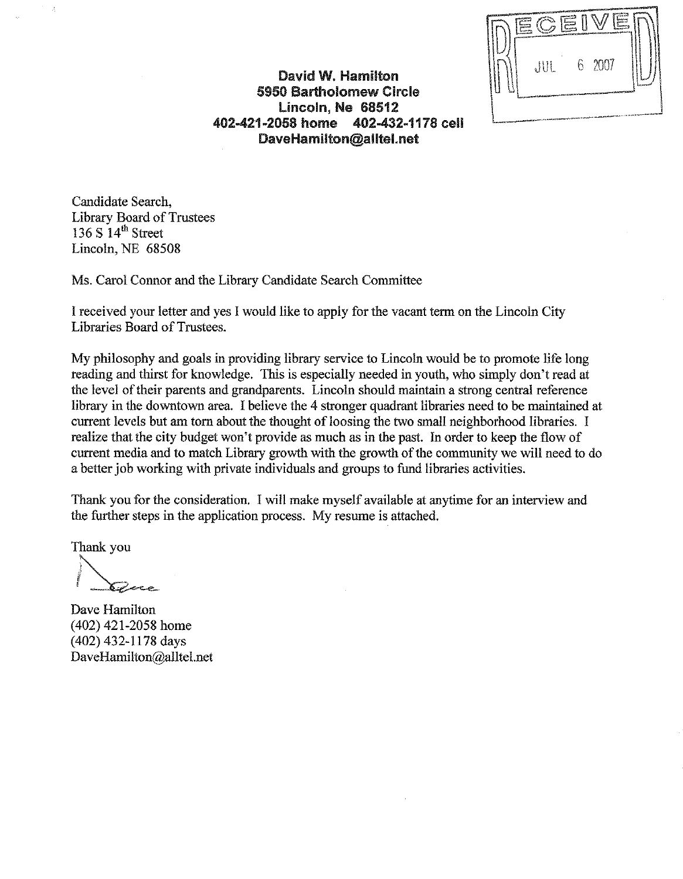$2007$  $\frac{1}{2}$ 6.

David W. Hamilton **5950 Bartholomew Circle** Lincoln. Ne 68512 402-421-2058 home 402-432-1178 cell DaveHamilton@alltel.net

Candidate Search. **Library Board of Trustees** 136 S  $14^{\text{th}}$  Street Lincoln, NE 68508

Ms. Carol Connor and the Library Candidate Search Committee

I received your letter and yes I would like to apply for the vacant term on the Lincoln City Libraries Board of Trustees.

My philosophy and goals in providing library service to Lincoln would be to promote life long reading and thirst for knowledge. This is especially needed in youth, who simply don't read at the level of their parents and grandparents. Lincoln should maintain a strong central reference library in the downtown area. I believe the 4 stronger quadrant libraries need to be maintained at current levels but am torn about the thought of loosing the two small neighborhood libraries. I realize that the city budget won't provide as much as in the past. In order to keep the flow of current media and to match Library growth with the growth of the community we will need to do a better job working with private individuals and groups to fund libraries activities.

Thank you for the consideration. I will make myself available at anytime for an interview and the further steps in the application process. My resume is attached.

Thank you

Dave Hamilton  $(402)$  421-2058 home (402) 432-1178 days DaveHamilton@alltel.net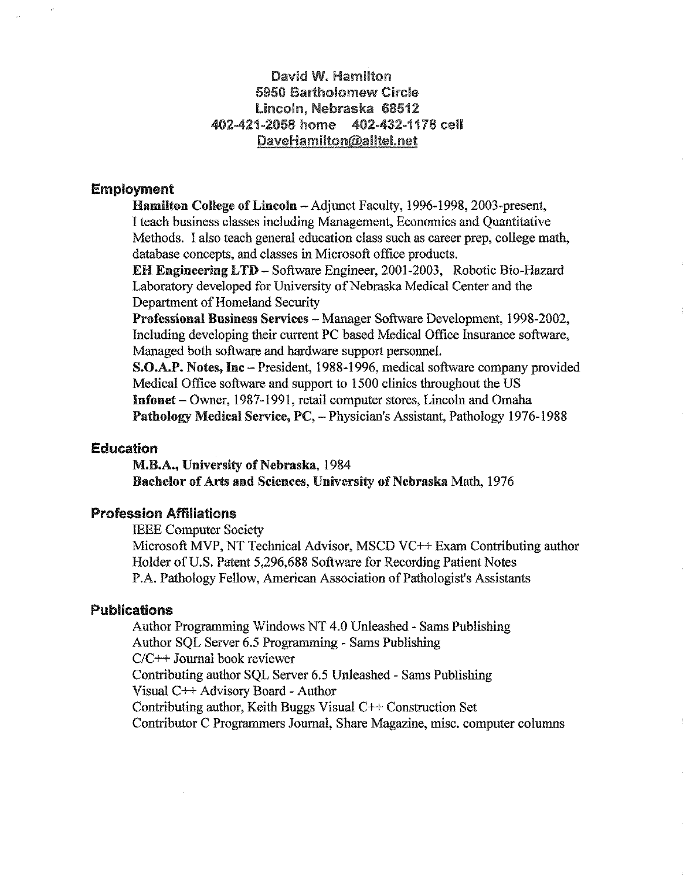### David W. Hamilton 5950 Bartholomew Circle Lincoln, Nebraska 68512 402-421-2058 home 402-432-1178 cell DaveHamilton@alltel.net

### **Employment**

Hamilton College of Lincoln - Adjunct Faculty, 1996-1998, 2003-present, I teach business classes including Management, Economics and Quantitative Methods. I also teach general education class such as career prep, college math. database concepts, and classes in Microsoft office products.

**EH Engineering LTD - Software Engineer, 2001-2003, Robotic Bio-Hazard** Laboratory developed for University of Nebraska Medical Center and the Department of Homeland Security

Professional Business Services - Manager Software Development, 1998-2002, Including developing their current PC based Medical Office Insurance software, Managed both software and hardware support personnel.

S.O.A.P. Notes, Inc – President, 1988-1996, medical software company provided Medical Office software and support to 1500 clinics throughout the US Infonet – Owner, 1987-1991, retail computer stores, Lincoln and Omaha Pathology Medical Service, PC, - Physician's Assistant, Pathology 1976-1988

### **Education**

M.B.A., University of Nebraska, 1984 Bachelor of Arts and Sciences, University of Nebraska Math, 1976

### **Profession Affiliations**

**IEEE Computer Society** 

Microsoft MVP, NT Technical Advisor, MSCD VC++ Exam Contributing author Holder of U.S. Patent 5,296,688 Software for Recording Patient Notes P.A. Pathology Fellow, American Association of Pathologist's Assistants

### Publications

Author Programming Windows NT 4.0 Unleashed - Sams Publishing Author SOL Server 6.5 Programming - Sams Publishing  $C/C++$  Journal book reviewer Contributing author SOL Server 6.5 Unleashed - Sams Publishing Visual C++ Advisory Board - Author Contributing author, Keith Buggs Visual C++ Construction Set Contributor C Programmers Journal, Share Magazine, misc. computer columns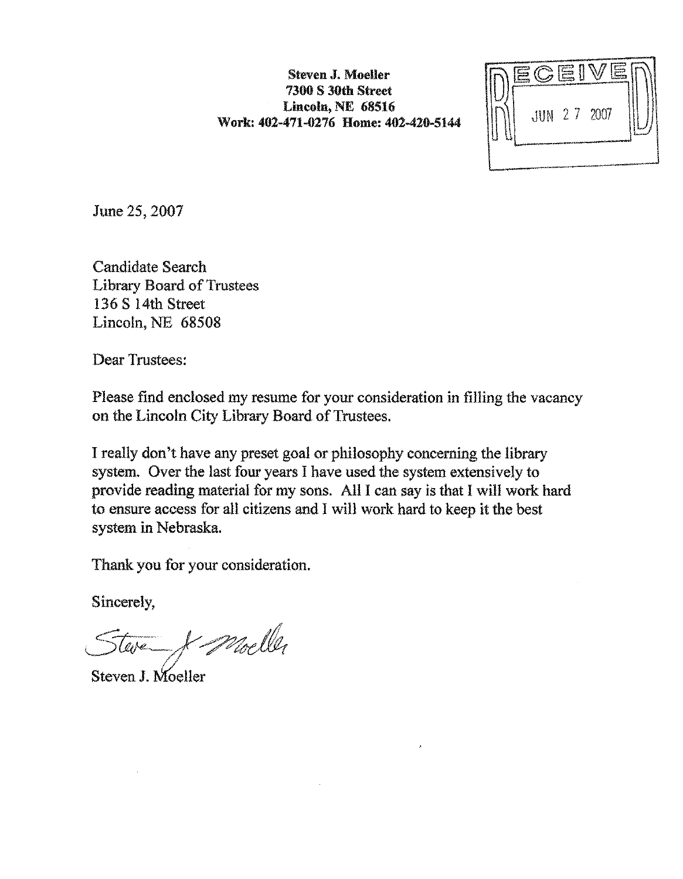Steven J. Moeller **7300 S 30th Street** Lincoln, NE 68516 Work: 402-471-0276 Home: 402-420-5144



June 25, 2007

**Candidate Search Library Board of Trustees** 136 S 14th Street Lincoln, NE 68508

**Dear Trustees:** 

Please find enclosed my resume for your consideration in filling the vacancy on the Lincoln City Library Board of Trustees.

I really don't have any preset goal or philosophy concerning the library system. Over the last four years I have used the system extensively to provide reading material for my sons. All I can say is that I will work hard to ensure access for all citizens and I will work hard to keep it the best system in Nebraska.

Thank you for your consideration.

Sincerely,

Moeller

Steven J. Moeller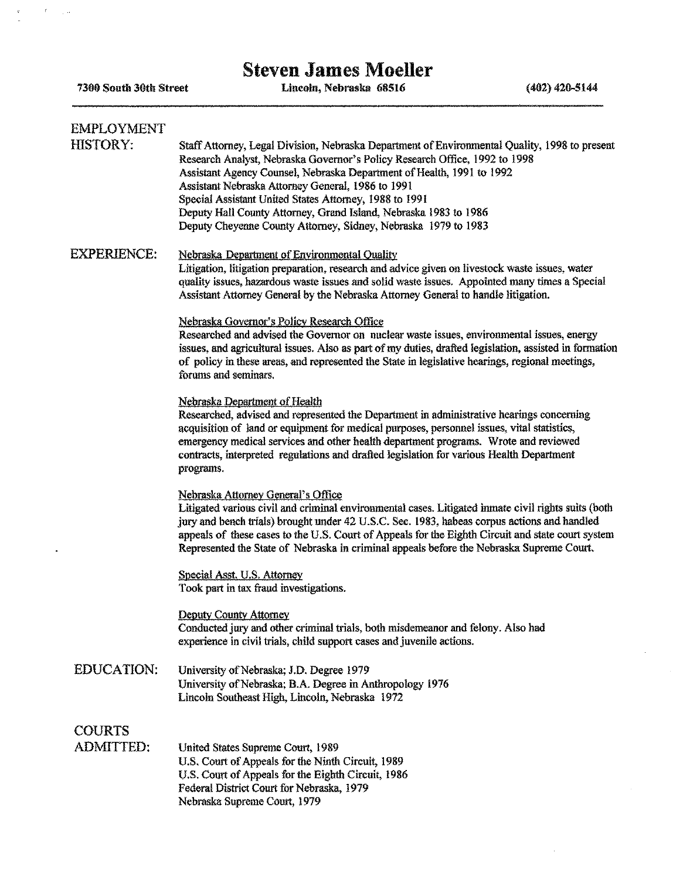# **Steven James Moeller**

7300 South 30th Street

 $\epsilon = \epsilon_{\rm max}$ 

 $\ddot{\phantom{a}}$ 

 $\frac{R}{\mu}$ 

Lincoln, Nebraska 68516

 $(402)$  420-5144

 $\mathcal{L}^{\pm}$ 

| EMPLOYMENT<br><b>HISTORY:</b>     | Staff Attorney, Legal Division, Nebraska Department of Environmental Quality, 1998 to present<br>Research Analyst, Nebraska Governor's Policy Research Office, 1992 to 1998<br>Assistant Agency Counsel, Nebraska Department of Health, 1991 to 1992<br>Assistant Nebraska Attorney General, 1986 to 1991<br>Special Assistant United States Attorney, 1988 to 1991<br>Deputy Hall County Attorney, Grand Island, Nebraska 1983 to 1986<br>Deputy Cheyenne County Attorney, Sidney, Nebraska 1979 to 1983 |
|-----------------------------------|-----------------------------------------------------------------------------------------------------------------------------------------------------------------------------------------------------------------------------------------------------------------------------------------------------------------------------------------------------------------------------------------------------------------------------------------------------------------------------------------------------------|
| EXPERIENCE:                       | Nebraska Department of Environmental Quality<br>Litigation, litigation preparation, research and advice given on livestock waste issues, water<br>quality issues, hazardous waste issues and solid waste issues. Appointed many times a Special<br>Assistant Attorney General by the Nebraska Attorney General to handle litigation.                                                                                                                                                                      |
|                                   | Nebraska Governor's Policy Research Office<br>Researched and advised the Governor on nuclear waste issues, environmental issues, energy<br>issues, and agricultural issues. Also as part of my duties, drafted legislation, assisted in formation<br>of policy in these areas, and represented the State in legislative hearings, regional meetings,<br>forums and seminars.                                                                                                                              |
|                                   | Nebraska Department of Health<br>Researched, advised and represented the Department in administrative hearings concerning<br>acquisition of land or equipment for medical purposes, personnel issues, vital statistics,<br>emergency medical services and other health department programs. Wrote and reviewed<br>contracts, interpreted regulations and drafted legislation for various Health Department<br>programs.                                                                                   |
|                                   | Nebraska Attorney General's Office<br>Litigated various civil and criminal environmental cases. Litigated inmate civil rights suits (both<br>jury and bench trials) brought under 42 U.S.C. Sec. 1983, habeas corpus actions and handled<br>appeals of these cases to the U.S. Court of Appeals for the Eighth Circuit and state court system<br>Represented the State of Nebraska in criminal appeals before the Nebraska Supreme Court.                                                                 |
|                                   | Special Asst, U.S. Attorney<br>Took part in tax fraud investigations.                                                                                                                                                                                                                                                                                                                                                                                                                                     |
|                                   | <b>Deputy County Attorney</b><br>Conducted jury and other criminal trials, both misdemeanor and felony. Also had<br>experience in civil trials, child support cases and juvenile actions.                                                                                                                                                                                                                                                                                                                 |
| <b>EDUCATION:</b>                 | University of Nebraska; J.D. Degree 1979<br>University of Nebraska; B.A. Degree in Anthropology 1976<br>Lincoln Southeast High, Lincoln, Nebraska 1972                                                                                                                                                                                                                                                                                                                                                    |
| <b>COURTS</b><br><b>ADMITTED:</b> | United States Supreme Court, 1989<br>U.S. Court of Appeals for the Ninth Circuit, 1989<br>U.S. Court of Appeals for the Eighth Circuit, 1986<br>Federal District Court for Nebraska, 1979<br>Nebraska Supreme Court, 1979                                                                                                                                                                                                                                                                                 |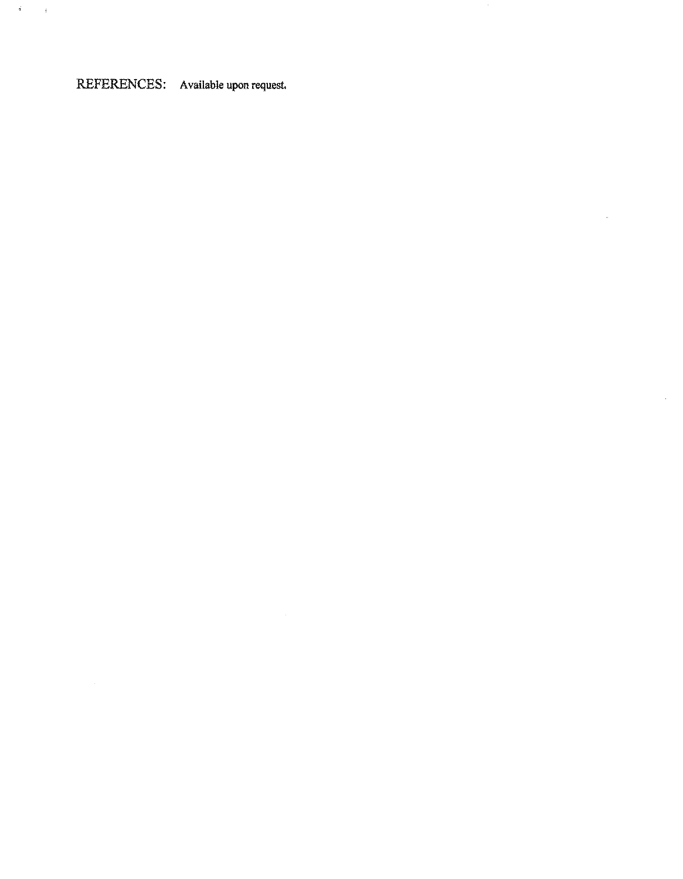# REFERENCES: Available upon request.

 $\mathcal{L}_{\mathcal{A}}$ 

 $\hat{\theta}$ 

 $\tilde{\mathcal{A}}$  ,  $\tilde{\mathcal{A}}$ 

 $\sim 10$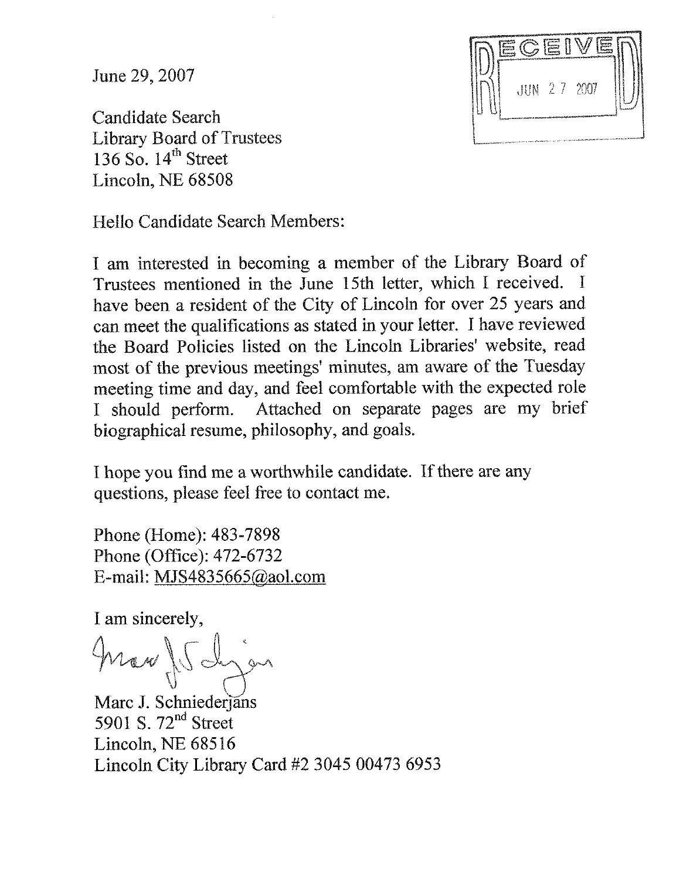June 29, 2007

**JUN 27 2007** 

**Candidate Search Library Board of Trustees** 136 So.  $14<sup>th</sup>$  Street Lincoln, NE 68508

Hello Candidate Search Members:

I am interested in becoming a member of the Library Board of Trustees mentioned in the June 15th letter, which I received. I have been a resident of the City of Lincoln for over 25 years and can meet the qualifications as stated in your letter. I have reviewed the Board Policies listed on the Lincoln Libraries' website, read most of the previous meetings' minutes, am aware of the Tuesday meeting time and day, and feel comfortable with the expected role Attached on separate pages are my brief I should perform. biographical resume, philosophy, and goals.

I hope you find me a worthwhile candidate. If there are any questions, please feel free to contact me.

Phone (Home): 483-7898 Phone (Office): 472-6732 E-mail: MJS4835665@aol.com

I am sincerely,

Marc J. Schniederjans 5901 S.  $72<sup>nd</sup>$  Street Lincoln, NE 68516 Lincoln City Library Card #2 3045 00473 6953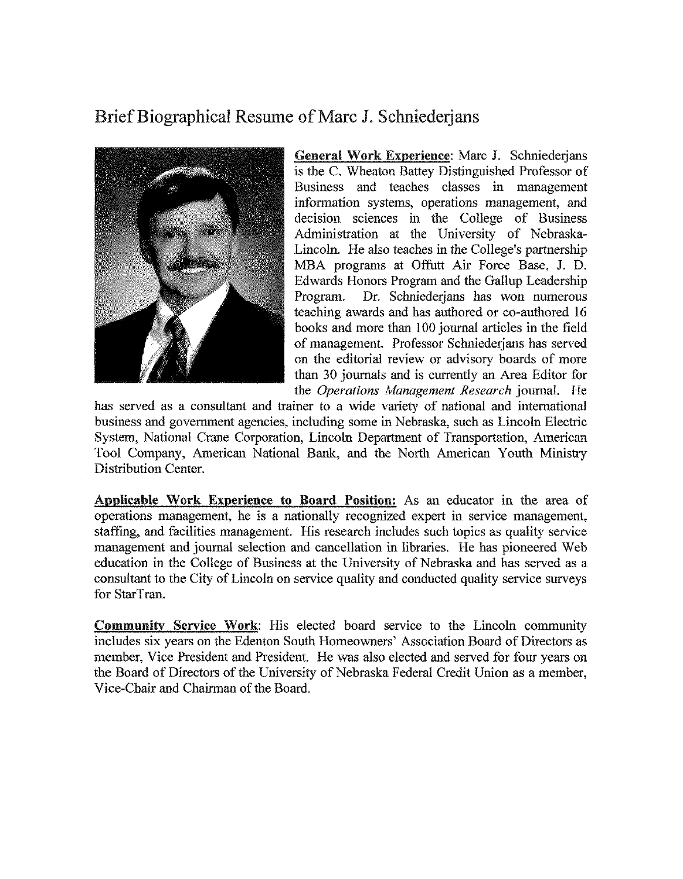## Brief Biographical Resume of Marc J. Schniederians



General Work Experience: Marc J. Schniederians is the C. Wheaton Battey Distinguished Professor of Business and teaches classes in management information systems, operations management, and decision sciences in the College of Business Administration at the University of Nebraska-Lincoln. He also teaches in the College's partnership MBA programs at Offutt Air Force Base, J. D. Edwards Honors Program and the Gallup Leadership Dr. Schniederjans has won numerous Program. teaching awards and has authored or co-authored 16 books and more than 100 journal articles in the field of management. Professor Schniederians has served on the editorial review or advisory boards of more than 30 journals and is currently an Area Editor for the Operations Management Research journal. He

has served as a consultant and trainer to a wide variety of national and international business and government agencies, including some in Nebraska, such as Lincoln Electric System, National Crane Corporation, Lincoln Department of Transportation, American Tool Company, American National Bank, and the North American Youth Ministry **Distribution Center.** 

Applicable Work Experience to Board Position: As an educator in the area of operations management, he is a nationally recognized expert in service management, staffing, and facilities management. His research includes such topics as quality service management and journal selection and cancellation in libraries. He has pioneered Web education in the College of Business at the University of Nebraska and has served as a consultant to the City of Lincoln on service quality and conducted quality service surveys for StarTran.

Community Service Work: His elected board service to the Lincoln community includes six years on the Edenton South Homeowners' Association Board of Directors as member, Vice President and President. He was also elected and served for four years on the Board of Directors of the University of Nebraska Federal Credit Union as a member. Vice-Chair and Chairman of the Board.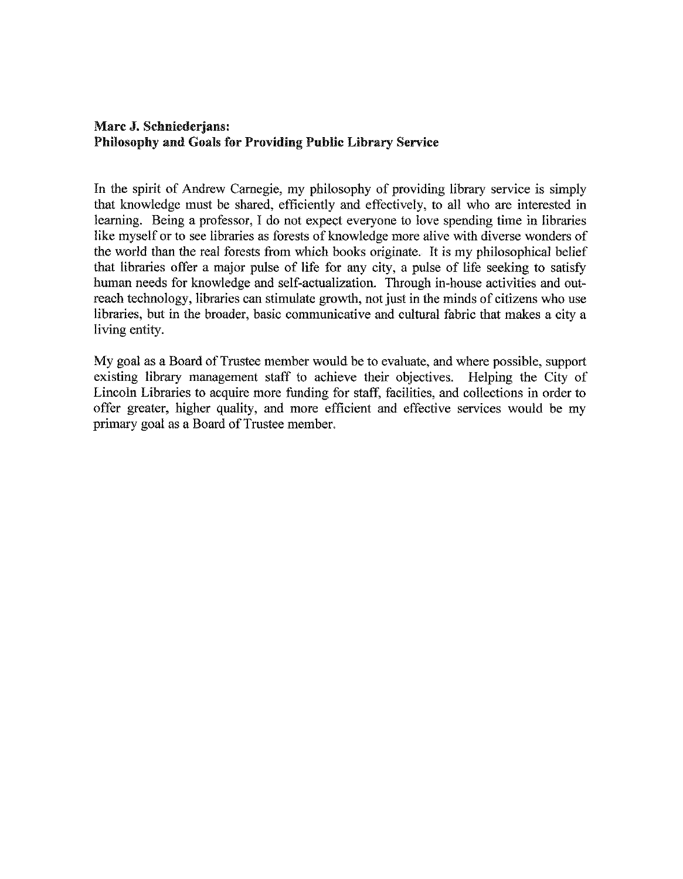### Marc J. Schniederjans: **Philosophy and Goals for Providing Public Library Service**

In the spirit of Andrew Carnegie, my philosophy of providing library service is simply that knowledge must be shared, efficiently and effectively, to all who are interested in learning. Being a professor, I do not expect everyone to love spending time in libraries like myself or to see libraries as forests of knowledge more alive with diverse wonders of the world than the real forests from which books originate. It is my philosophical belief that libraries offer a major pulse of life for any city, a pulse of life seeking to satisfy human needs for knowledge and self-actualization. Through in-house activities and outreach technology, libraries can stimulate growth, not just in the minds of citizens who use libraries, but in the broader, basic communicative and cultural fabric that makes a city a living entity.

My goal as a Board of Trustee member would be to evaluate, and where possible, support existing library management staff to achieve their objectives. Helping the City of Lincoln Libraries to acquire more funding for staff, facilities, and collections in order to offer greater, higher quality, and more efficient and effective services would be my primary goal as a Board of Trustee member.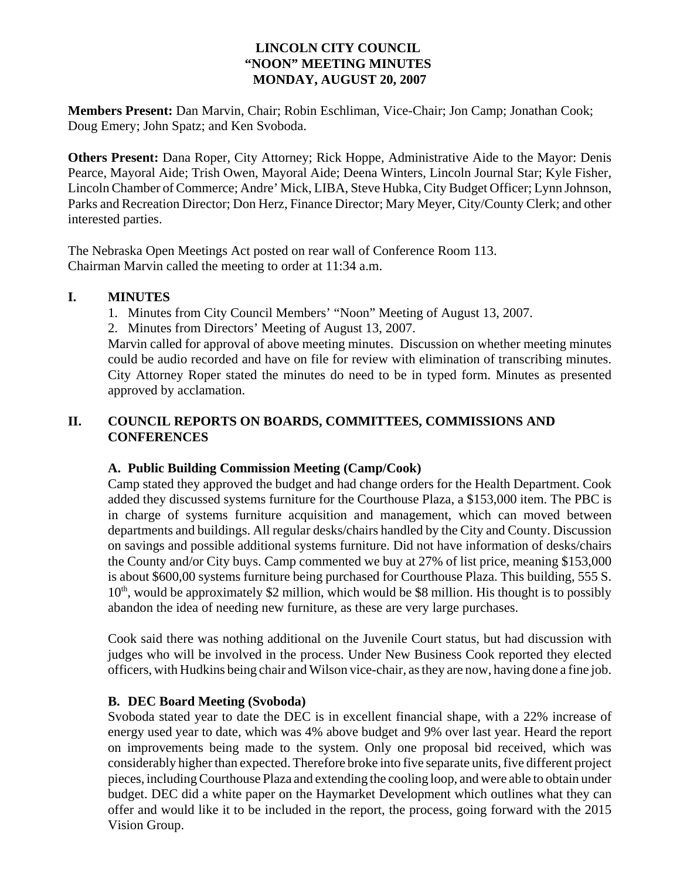### **LINCOLN CITY COUNCIL "NOON" MEETING MINUTES MONDAY, AUGUST 20, 2007**

**Members Present:** Dan Marvin, Chair; Robin Eschliman, Vice-Chair; Jon Camp; Jonathan Cook; Doug Emery; John Spatz; and Ken Svoboda.

**Others Present:** Dana Roper, City Attorney; Rick Hoppe, Administrative Aide to the Mayor: Denis Pearce, Mayoral Aide; Trish Owen, Mayoral Aide; Deena Winters, Lincoln Journal Star; Kyle Fisher, Lincoln Chamber of Commerce; Andre' Mick, LIBA, Steve Hubka, City Budget Officer; Lynn Johnson, Parks and Recreation Director; Don Herz, Finance Director; Mary Meyer, City/County Clerk; and other interested parties.

The Nebraska Open Meetings Act posted on rear wall of Conference Room 113. Chairman Marvin called the meeting to order at 11:34 a.m.

### **I. MINUTES**

- 1. Minutes from City Council Members' "Noon" Meeting of August 13, 2007.
- 2. Minutes from Directors' Meeting of August 13, 2007.

Marvin called for approval of above meeting minutes. Discussion on whether meeting minutes could be audio recorded and have on file for review with elimination of transcribing minutes. City Attorney Roper stated the minutes do need to be in typed form. Minutes as presented approved by acclamation.

### **II. COUNCIL REPORTS ON BOARDS, COMMITTEES, COMMISSIONS AND CONFERENCES**

### **A. Public Building Commission Meeting (Camp/Cook)**

Camp stated they approved the budget and had change orders for the Health Department. Cook added they discussed systems furniture for the Courthouse Plaza, a \$153,000 item. The PBC is in charge of systems furniture acquisition and management, which can moved between departments and buildings. All regular desks/chairs handled by the City and County. Discussion on savings and possible additional systems furniture. Did not have information of desks/chairs the County and/or City buys. Camp commented we buy at 27% of list price, meaning \$153,000 is about \$600,00 systems furniture being purchased for Courthouse Plaza. This building, 555 S.  $10<sup>th</sup>$ , would be approximately \$2 million, which would be \$8 million. His thought is to possibly abandon the idea of needing new furniture, as these are very large purchases.

Cook said there was nothing additional on the Juvenile Court status, but had discussion with judges who will be involved in the process. Under New Business Cook reported they elected officers, with Hudkins being chair and Wilson vice-chair, as they are now, having done a fine job.

### **B. DEC Board Meeting (Svoboda)**

Svoboda stated year to date the DEC is in excellent financial shape, with a 22% increase of energy used year to date, which was 4% above budget and 9% over last year. Heard the report on improvements being made to the system. Only one proposal bid received, which was considerably higher than expected. Therefore broke into five separate units, five different project pieces, including Courthouse Plaza and extending the cooling loop, and were able to obtain under budget. DEC did a white paper on the Haymarket Development which outlines what they can offer and would like it to be included in the report, the process, going forward with the 2015 Vision Group.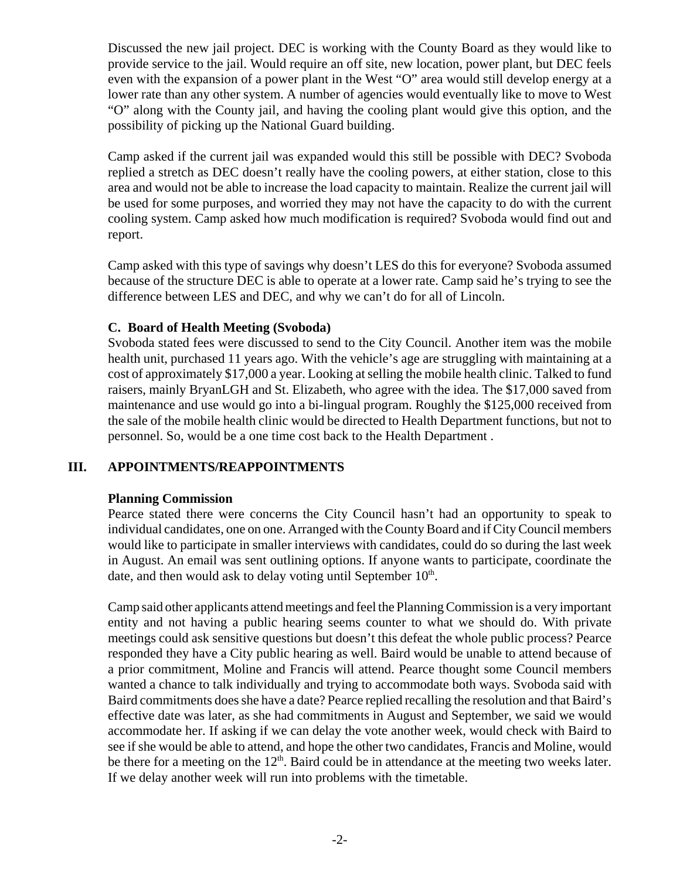Discussed the new jail project. DEC is working with the County Board as they would like to provide service to the jail. Would require an off site, new location, power plant, but DEC feels even with the expansion of a power plant in the West "O" area would still develop energy at a lower rate than any other system. A number of agencies would eventually like to move to West "O" along with the County jail, and having the cooling plant would give this option, and the possibility of picking up the National Guard building.

Camp asked if the current jail was expanded would this still be possible with DEC? Svoboda replied a stretch as DEC doesn't really have the cooling powers, at either station, close to this area and would not be able to increase the load capacity to maintain. Realize the current jail will be used for some purposes, and worried they may not have the capacity to do with the current cooling system. Camp asked how much modification is required? Svoboda would find out and report.

Camp asked with this type of savings why doesn't LES do this for everyone? Svoboda assumed because of the structure DEC is able to operate at a lower rate. Camp said he's trying to see the difference between LES and DEC, and why we can't do for all of Lincoln.

### **C. Board of Health Meeting (Svoboda)**

Svoboda stated fees were discussed to send to the City Council. Another item was the mobile health unit, purchased 11 years ago. With the vehicle's age are struggling with maintaining at a cost of approximately \$17,000 a year. Looking at selling the mobile health clinic. Talked to fund raisers, mainly BryanLGH and St. Elizabeth, who agree with the idea. The \$17,000 saved from maintenance and use would go into a bi-lingual program. Roughly the \$125,000 received from the sale of the mobile health clinic would be directed to Health Department functions, but not to personnel. So, would be a one time cost back to the Health Department .

### **III. APPOINTMENTS/REAPPOINTMENTS**

### **Planning Commission**

Pearce stated there were concerns the City Council hasn't had an opportunity to speak to individual candidates, one on one. Arranged with the County Board and if City Council members would like to participate in smaller interviews with candidates, could do so during the last week in August. An email was sent outlining options. If anyone wants to participate, coordinate the date, and then would ask to delay voting until September  $10<sup>th</sup>$ .

Camp said other applicants attend meetings and feel the Planning Commission is a very important entity and not having a public hearing seems counter to what we should do. With private meetings could ask sensitive questions but doesn't this defeat the whole public process? Pearce responded they have a City public hearing as well. Baird would be unable to attend because of a prior commitment, Moline and Francis will attend. Pearce thought some Council members wanted a chance to talk individually and trying to accommodate both ways. Svoboda said with Baird commitments does she have a date? Pearce replied recalling the resolution and that Baird's effective date was later, as she had commitments in August and September, we said we would accommodate her. If asking if we can delay the vote another week, would check with Baird to see if she would be able to attend, and hope the other two candidates, Francis and Moline, would be there for a meeting on the  $12<sup>th</sup>$ . Baird could be in attendance at the meeting two weeks later. If we delay another week will run into problems with the timetable.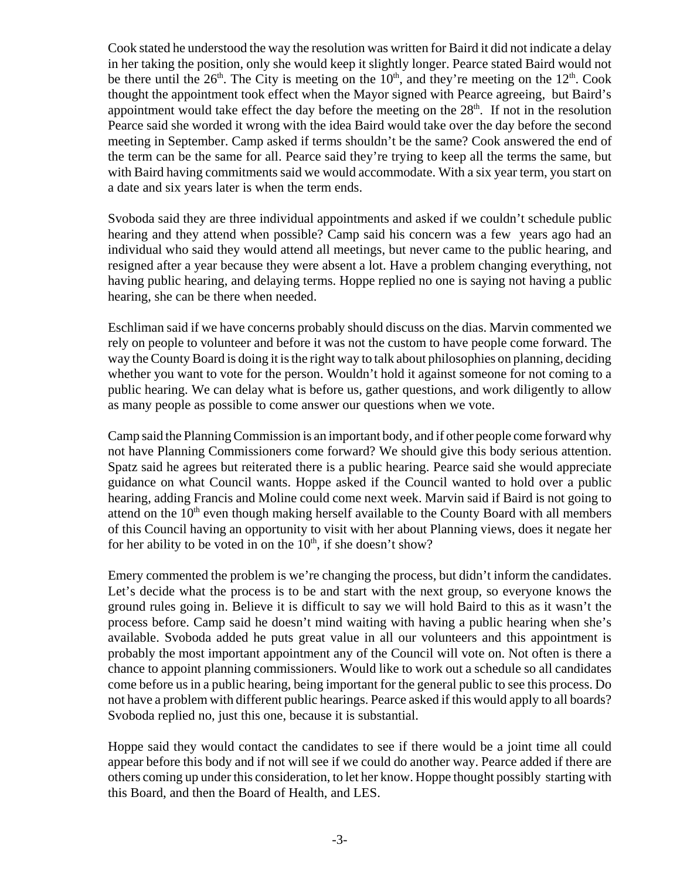Cook stated he understood the way the resolution was written for Baird it did not indicate a delay in her taking the position, only she would keep it slightly longer. Pearce stated Baird would not be there until the  $26<sup>th</sup>$ . The City is meeting on the  $10<sup>th</sup>$ , and they're meeting on the  $12<sup>th</sup>$ . Cook thought the appointment took effect when the Mayor signed with Pearce agreeing, but Baird's appointment would take effect the day before the meeting on the  $28<sup>th</sup>$ . If not in the resolution Pearce said she worded it wrong with the idea Baird would take over the day before the second meeting in September. Camp asked if terms shouldn't be the same? Cook answered the end of the term can be the same for all. Pearce said they're trying to keep all the terms the same, but with Baird having commitments said we would accommodate. With a six year term, you start on a date and six years later is when the term ends.

Svoboda said they are three individual appointments and asked if we couldn't schedule public hearing and they attend when possible? Camp said his concern was a few years ago had an individual who said they would attend all meetings, but never came to the public hearing, and resigned after a year because they were absent a lot. Have a problem changing everything, not having public hearing, and delaying terms. Hoppe replied no one is saying not having a public hearing, she can be there when needed.

Eschliman said if we have concerns probably should discuss on the dias. Marvin commented we rely on people to volunteer and before it was not the custom to have people come forward. The way the County Board is doing it is the right way to talk about philosophies on planning, deciding whether you want to vote for the person. Wouldn't hold it against someone for not coming to a public hearing. We can delay what is before us, gather questions, and work diligently to allow as many people as possible to come answer our questions when we vote.

Camp said the Planning Commission is an important body, and if other people come forward why not have Planning Commissioners come forward? We should give this body serious attention. Spatz said he agrees but reiterated there is a public hearing. Pearce said she would appreciate guidance on what Council wants. Hoppe asked if the Council wanted to hold over a public hearing, adding Francis and Moline could come next week. Marvin said if Baird is not going to attend on the  $10<sup>th</sup>$  even though making herself available to the County Board with all members of this Council having an opportunity to visit with her about Planning views, does it negate her for her ability to be voted in on the  $10<sup>th</sup>$ , if she doesn't show?

Emery commented the problem is we're changing the process, but didn't inform the candidates. Let's decide what the process is to be and start with the next group, so everyone knows the ground rules going in. Believe it is difficult to say we will hold Baird to this as it wasn't the process before. Camp said he doesn't mind waiting with having a public hearing when she's available. Svoboda added he puts great value in all our volunteers and this appointment is probably the most important appointment any of the Council will vote on. Not often is there a chance to appoint planning commissioners. Would like to work out a schedule so all candidates come before us in a public hearing, being important for the general public to see this process. Do not have a problem with different public hearings. Pearce asked if this would apply to all boards? Svoboda replied no, just this one, because it is substantial.

Hoppe said they would contact the candidates to see if there would be a joint time all could appear before this body and if not will see if we could do another way. Pearce added if there are others coming up under this consideration, to let her know. Hoppe thought possibly starting with this Board, and then the Board of Health, and LES.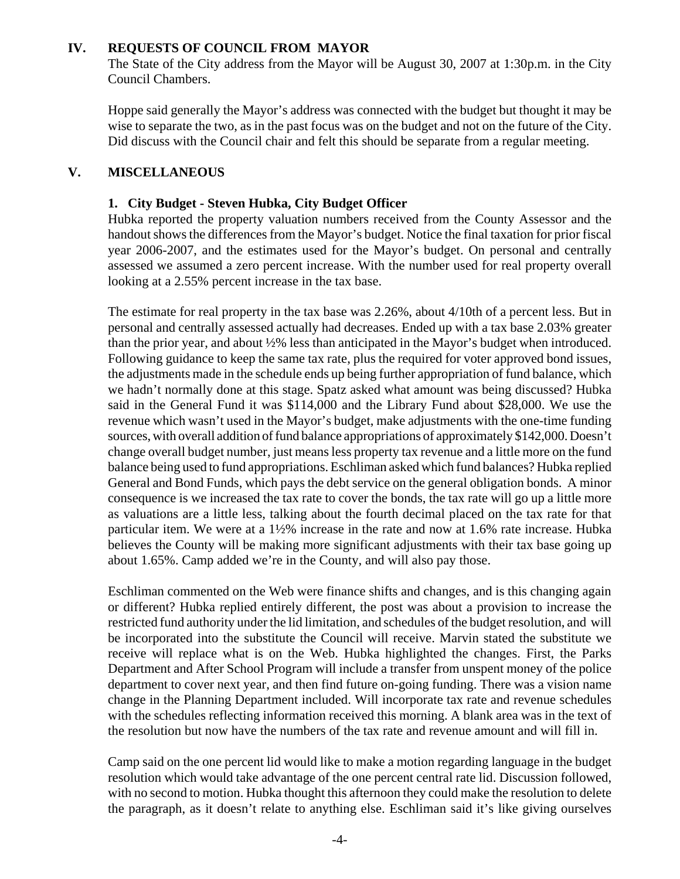### **IV. REQUESTS OF COUNCIL FROM MAYOR**

The State of the City address from the Mayor will be August 30, 2007 at 1:30p.m. in the City Council Chambers.

Hoppe said generally the Mayor's address was connected with the budget but thought it may be wise to separate the two, as in the past focus was on the budget and not on the future of the City. Did discuss with the Council chair and felt this should be separate from a regular meeting.

### **V. MISCELLANEOUS**

### **1. City Budget - Steven Hubka, City Budget Officer**

Hubka reported the property valuation numbers received from the County Assessor and the handout shows the differences from the Mayor's budget. Notice the final taxation for prior fiscal year 2006-2007, and the estimates used for the Mayor's budget. On personal and centrally assessed we assumed a zero percent increase. With the number used for real property overall looking at a 2.55% percent increase in the tax base.

The estimate for real property in the tax base was 2.26%, about 4/10th of a percent less. But in personal and centrally assessed actually had decreases. Ended up with a tax base 2.03% greater than the prior year, and about ½% less than anticipated in the Mayor's budget when introduced. Following guidance to keep the same tax rate, plus the required for voter approved bond issues, the adjustments made in the schedule ends up being further appropriation of fund balance, which we hadn't normally done at this stage. Spatz asked what amount was being discussed? Hubka said in the General Fund it was \$114,000 and the Library Fund about \$28,000. We use the revenue which wasn't used in the Mayor's budget, make adjustments with the one-time funding sources, with overall addition of fund balance appropriations of approximately \$142,000. Doesn't change overall budget number, just means less property tax revenue and a little more on the fund balance being used to fund appropriations. Eschliman asked which fund balances? Hubka replied General and Bond Funds, which pays the debt service on the general obligation bonds. A minor consequence is we increased the tax rate to cover the bonds, the tax rate will go up a little more as valuations are a little less, talking about the fourth decimal placed on the tax rate for that particular item. We were at a 1½% increase in the rate and now at 1.6% rate increase. Hubka believes the County will be making more significant adjustments with their tax base going up about 1.65%. Camp added we're in the County, and will also pay those.

Eschliman commented on the Web were finance shifts and changes, and is this changing again or different? Hubka replied entirely different, the post was about a provision to increase the restricted fund authority under the lid limitation, and schedules of the budget resolution, and will be incorporated into the substitute the Council will receive. Marvin stated the substitute we receive will replace what is on the Web. Hubka highlighted the changes. First, the Parks Department and After School Program will include a transfer from unspent money of the police department to cover next year, and then find future on-going funding. There was a vision name change in the Planning Department included. Will incorporate tax rate and revenue schedules with the schedules reflecting information received this morning. A blank area was in the text of the resolution but now have the numbers of the tax rate and revenue amount and will fill in.

Camp said on the one percent lid would like to make a motion regarding language in the budget resolution which would take advantage of the one percent central rate lid. Discussion followed, with no second to motion. Hubka thought this afternoon they could make the resolution to delete the paragraph, as it doesn't relate to anything else. Eschliman said it's like giving ourselves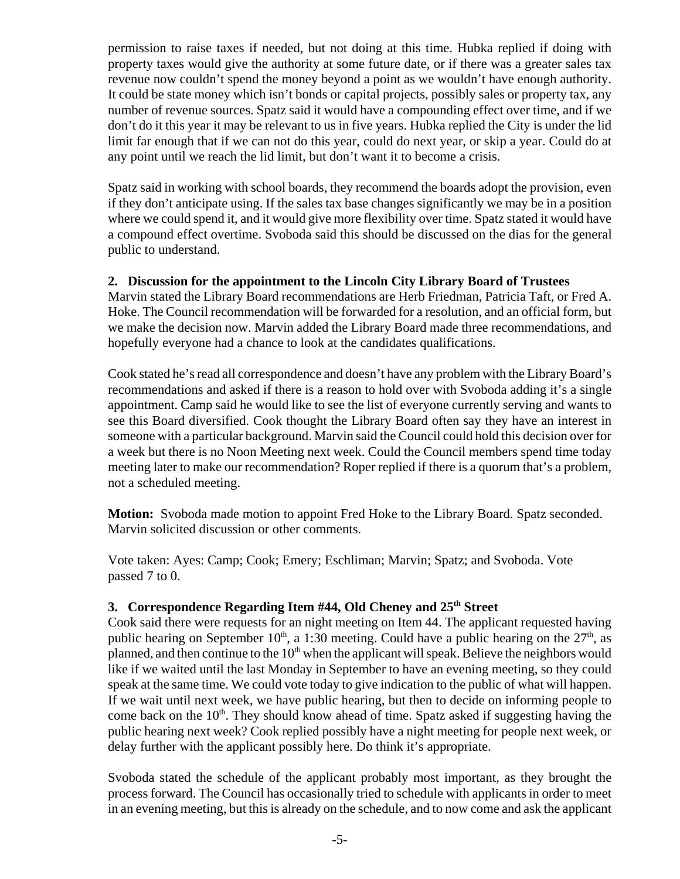permission to raise taxes if needed, but not doing at this time. Hubka replied if doing with property taxes would give the authority at some future date, or if there was a greater sales tax revenue now couldn't spend the money beyond a point as we wouldn't have enough authority. It could be state money which isn't bonds or capital projects, possibly sales or property tax, any number of revenue sources. Spatz said it would have a compounding effect over time, and if we don't do it this year it may be relevant to us in five years. Hubka replied the City is under the lid limit far enough that if we can not do this year, could do next year, or skip a year. Could do at any point until we reach the lid limit, but don't want it to become a crisis.

Spatz said in working with school boards, they recommend the boards adopt the provision, even if they don't anticipate using. If the sales tax base changes significantly we may be in a position where we could spend it, and it would give more flexibility over time. Spatz stated it would have a compound effect overtime. Svoboda said this should be discussed on the dias for the general public to understand.

### **2. Discussion for the appointment to the Lincoln City Library Board of Trustees**

Marvin stated the Library Board recommendations are Herb Friedman, Patricia Taft, or Fred A. Hoke. The Council recommendation will be forwarded for a resolution, and an official form, but we make the decision now. Marvin added the Library Board made three recommendations, and hopefully everyone had a chance to look at the candidates qualifications.

Cook stated he's read all correspondence and doesn't have any problem with the Library Board's recommendations and asked if there is a reason to hold over with Svoboda adding it's a single appointment. Camp said he would like to see the list of everyone currently serving and wants to see this Board diversified. Cook thought the Library Board often say they have an interest in someone with a particular background. Marvin said the Council could hold this decision over for a week but there is no Noon Meeting next week. Could the Council members spend time today meeting later to make our recommendation? Roper replied if there is a quorum that's a problem, not a scheduled meeting.

**Motion:** Svoboda made motion to appoint Fred Hoke to the Library Board. Spatz seconded. Marvin solicited discussion or other comments.

Vote taken: Ayes: Camp; Cook; Emery; Eschliman; Marvin; Spatz; and Svoboda. Vote passed 7 to 0.

## **3. Correspondence Regarding Item #44, Old Cheney and 25th Street**

Cook said there were requests for an night meeting on Item 44. The applicant requested having public hearing on September 10<sup>th</sup>, a 1:30 meeting. Could have a public hearing on the  $27<sup>th</sup>$ , as planned, and then continue to the  $10<sup>th</sup>$  when the applicant will speak. Believe the neighbors would like if we waited until the last Monday in September to have an evening meeting, so they could speak at the same time. We could vote today to give indication to the public of what will happen. If we wait until next week, we have public hearing, but then to decide on informing people to come back on the  $10<sup>th</sup>$ . They should know ahead of time. Spatz asked if suggesting having the public hearing next week? Cook replied possibly have a night meeting for people next week, or delay further with the applicant possibly here. Do think it's appropriate.

Svoboda stated the schedule of the applicant probably most important, as they brought the process forward. The Council has occasionally tried to schedule with applicants in order to meet in an evening meeting, but this is already on the schedule, and to now come and ask the applicant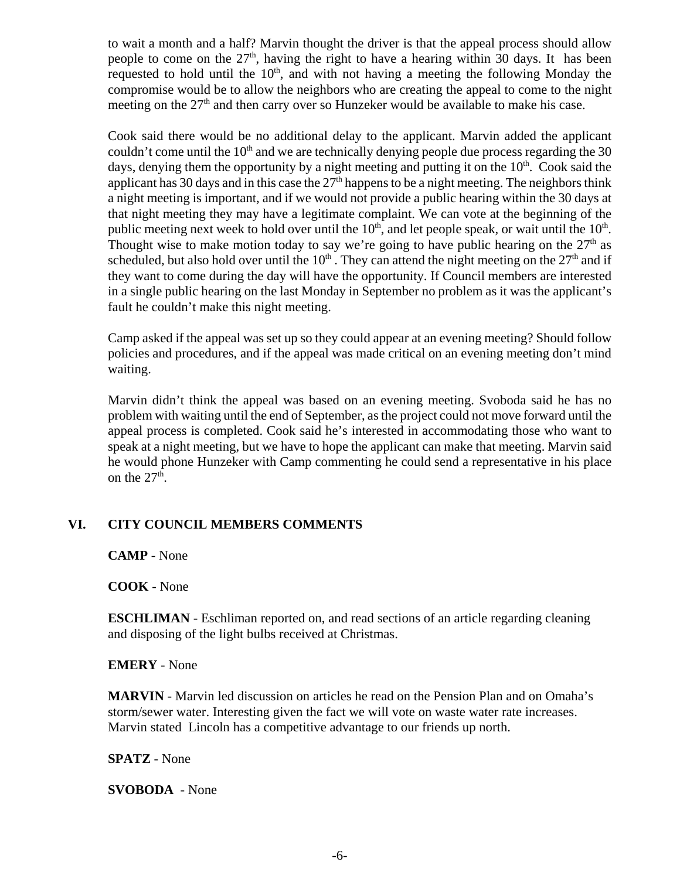to wait a month and a half? Marvin thought the driver is that the appeal process should allow people to come on the  $27<sup>th</sup>$ , having the right to have a hearing within 30 days. It has been requested to hold until the  $10<sup>th</sup>$ , and with not having a meeting the following Monday the compromise would be to allow the neighbors who are creating the appeal to come to the night meeting on the  $27<sup>th</sup>$  and then carry over so Hunzeker would be available to make his case.

Cook said there would be no additional delay to the applicant. Marvin added the applicant couldn't come until the  $10<sup>th</sup>$  and we are technically denying people due process regarding the 30 days, denying them the opportunity by a night meeting and putting it on the  $10<sup>th</sup>$ . Cook said the applicant has 30 days and in this case the  $27<sup>th</sup>$  happens to be a night meeting. The neighbors think a night meeting is important, and if we would not provide a public hearing within the 30 days at that night meeting they may have a legitimate complaint. We can vote at the beginning of the public meeting next week to hold over until the  $10<sup>th</sup>$ , and let people speak, or wait until the  $10<sup>th</sup>$ . Thought wise to make motion today to say we're going to have public hearing on the  $27<sup>th</sup>$  as scheduled, but also hold over until the  $10<sup>th</sup>$ . They can attend the night meeting on the  $27<sup>th</sup>$  and if they want to come during the day will have the opportunity. If Council members are interested in a single public hearing on the last Monday in September no problem as it was the applicant's fault he couldn't make this night meeting.

Camp asked if the appeal was set up so they could appear at an evening meeting? Should follow policies and procedures, and if the appeal was made critical on an evening meeting don't mind waiting.

Marvin didn't think the appeal was based on an evening meeting. Svoboda said he has no problem with waiting until the end of September, as the project could not move forward until the appeal process is completed. Cook said he's interested in accommodating those who want to speak at a night meeting, but we have to hope the applicant can make that meeting. Marvin said he would phone Hunzeker with Camp commenting he could send a representative in his place on the  $27<sup>th</sup>$ .

### **VI. CITY COUNCIL MEMBERS COMMENTS**

**CAMP** - None

**COOK** - None

**ESCHLIMAN** - Eschliman reported on, and read sections of an article regarding cleaning and disposing of the light bulbs received at Christmas.

### **EMERY** - None

**MARVIN** - Marvin led discussion on articles he read on the Pension Plan and on Omaha's storm/sewer water. Interesting given the fact we will vote on waste water rate increases. Marvin stated Lincoln has a competitive advantage to our friends up north.

**SPATZ** - None

**SVOBODA** - None